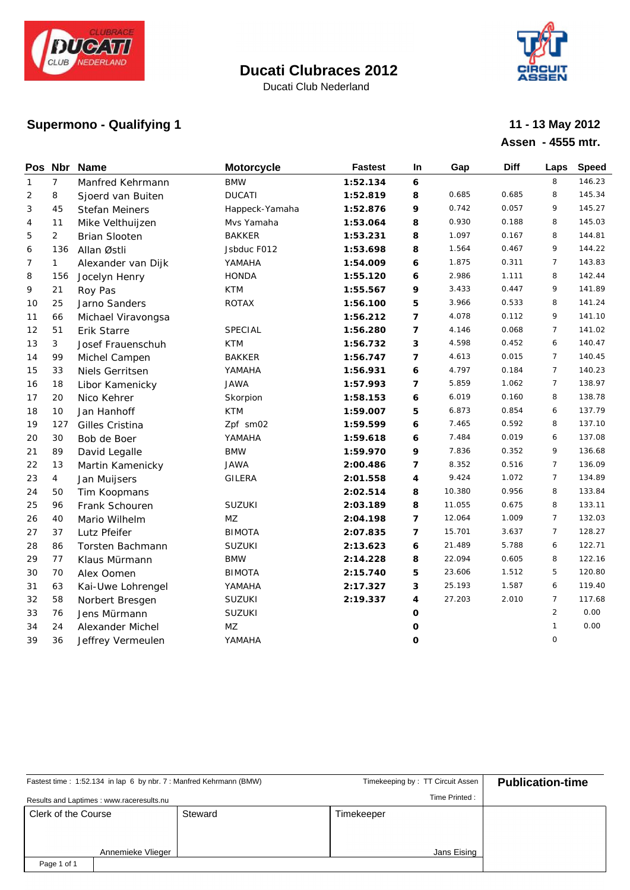

Ducati Club Nederland



## **Supermono - Qualifying 1 11 - 13 May 2012**

# **Assen - 4555 mtr.**

| Pos Nbr      |                | <b>Name</b>          | <b>Motorcycle</b>      | <b>Fastest</b> | In                       | Gap    | <b>Diff</b> | Laps           | <b>Speed</b> |
|--------------|----------------|----------------------|------------------------|----------------|--------------------------|--------|-------------|----------------|--------------|
| $\mathbf{1}$ | 7              | Manfred Kehrmann     | <b>BMW</b>             | 1:52.134       | 6                        |        |             | 8              | 146.23       |
| 2            | 8              | Sjoerd van Buiten    | <b>DUCATI</b>          | 1:52.819       | 8                        | 0.685  | 0.685       | 8              | 145.34       |
| 3            | 45             | Stefan Meiners       | Happeck-Yamaha         | 1:52.876       | 9                        | 0.742  | 0.057       | 9              | 145.27       |
| 4            | 11             | Mike Velthuijzen     | Mvs Yamaha             | 1:53.064       | 8                        | 0.930  | 0.188       | 8              | 145.03       |
| 5            | 2              | <b>Brian Slooten</b> | <b>BAKKER</b>          | 1:53.231       | 8                        | 1.097  | 0.167       | 8              | 144.81       |
| 6            | 136            | Allan Østli          | Jsbduc F012            | 1:53.698       | 8                        | 1.564  | 0.467       | 9              | 144.22       |
| 7            | $\mathbf{1}$   | Alexander van Dijk   | YAMAHA                 | 1:54.009       | 6                        | 1.875  | 0.311       | $\overline{7}$ | 143.83       |
| 8            | 156            | Jocelyn Henry        | <b>HONDA</b>           | 1:55.120       | 6                        | 2.986  | 1.111       | 8              | 142.44       |
| 9            | 21             | Roy Pas              | <b>KTM</b>             | 1:55.567       | 9                        | 3.433  | 0.447       | 9              | 141.89       |
| 10           | 25             | Jarno Sanders        | ROTAX                  | 1:56.100       | 5                        | 3.966  | 0.533       | 8              | 141.24       |
| 11           | 66             | Michael Viravongsa   |                        | 1:56.212       | 7                        | 4.078  | 0.112       | 9              | 141.10       |
| 12           | 51             | Erik Starre          | SPECIAL                | 1:56.280       | 7                        | 4.146  | 0.068       | $\overline{7}$ | 141.02       |
| 13           | 3              | Josef Frauenschuh    | <b>KTM</b>             | 1:56.732       | З                        | 4.598  | 0.452       | 6              | 140.47       |
| 14           | 99             | Michel Campen        | <b>BAKKER</b>          | 1:56.747       | $\overline{\phantom{a}}$ | 4.613  | 0.015       | $\overline{7}$ | 140.45       |
| 15           | 33             | Niels Gerritsen      | YAMAHA                 | 1:56.931       | 6                        | 4.797  | 0.184       | $\overline{7}$ | 140.23       |
| 16           | 18             | Libor Kamenicky      | <b>JAWA</b>            | 1:57.993       | $\overline{7}$           | 5.859  | 1.062       | $\overline{7}$ | 138.97       |
| 17           | 20             | Nico Kehrer          | Skorpion               | 1:58.153       | 6                        | 6.019  | 0.160       | 8              | 138.78       |
| 18           | 10             | Jan Hanhoff          | <b>KTM</b>             | 1:59.007       | 5                        | 6.873  | 0.854       | 6              | 137.79       |
| 19           | 127            | Gilles Cristina      | Zpf sm02               | 1:59.599       | 6                        | 7.465  | 0.592       | 8              | 137.10       |
| 20           | 30             | Bob de Boer          | YAMAHA                 | 1:59.618       | 6                        | 7.484  | 0.019       | 6              | 137.08       |
| 21           | 89             | David Legalle        | <b>BMW</b>             | 1:59.970       | 9                        | 7.836  | 0.352       | 9              | 136.68       |
| 22           | 13             | Martin Kamenicky     | <b>JAWA</b>            | 2:00.486       | 7                        | 8.352  | 0.516       | $\overline{7}$ | 136.09       |
| 23           | $\overline{4}$ | Jan Muijsers         | GILERA                 | 2:01.558       | 4                        | 9.424  | 1.072       | $\overline{7}$ | 134.89       |
| 24           | 50             | Tim Koopmans         |                        | 2:02.514       | 8                        | 10.380 | 0.956       | 8              | 133.84       |
| 25           | 96             | Frank Schouren       | SUZUKI                 | 2:03.189       | 8                        | 11.055 | 0.675       | 8              | 133.11       |
| 26           | 40             | Mario Wilhelm        | $\mathsf{M}\mathsf{Z}$ | 2:04.198       | $\overline{ }$           | 12.064 | 1.009       | $\overline{7}$ | 132.03       |
| 27           | 37             | Lutz Pfeifer         | <b>BIMOTA</b>          | 2:07.835       | $\overline{7}$           | 15.701 | 3.637       | $\overline{7}$ | 128.27       |
| 28           | 86             | Torsten Bachmann     | SUZUKI                 | 2:13.623       | 6                        | 21.489 | 5.788       | 6              | 122.71       |
| 29           | 77             | Klaus Mürmann        | <b>BMW</b>             | 2:14.228       | 8                        | 22.094 | 0.605       | 8              | 122.16       |
| 30           | 70             | Alex Oomen           | <b>BIMOTA</b>          | 2:15.740       | 5                        | 23.606 | 1.512       | 5              | 120.80       |
| 31           | 63             | Kai-Uwe Lohrengel    | YAMAHA                 | 2:17.327       | 3                        | 25.193 | 1.587       | 6              | 119.40       |
| 32           | 58             | Norbert Bresgen      | SUZUKI                 | 2:19.337       | 4                        | 27.203 | 2.010       | $\overline{7}$ | 117.68       |
| 33           | 76             | Jens Mürmann         | SUZUKI                 |                | O                        |        |             | $\overline{2}$ | 0.00         |
| 34           | 24             | Alexander Michel     | MZ                     |                | O                        |        |             | $\mathbf{1}$   | 0.00         |
| 39           | 36             | Jeffrey Vermeulen    | YAMAHA                 |                | O                        |        |             | $\mathsf{O}$   |              |

|                     |                                          | Fastest time: 1:52.134 in lap 6 by nbr. 7: Manfred Kehrmann (BMW) | Timekeeping by: TT Circuit Assen | <b>Publication-time</b> |
|---------------------|------------------------------------------|-------------------------------------------------------------------|----------------------------------|-------------------------|
|                     | Results and Laptimes: www.raceresults.nu |                                                                   | Time Printed:                    |                         |
| Clerk of the Course |                                          | Steward                                                           | Timekeeper                       |                         |
|                     |                                          |                                                                   |                                  |                         |
| Annemieke Vlieger   |                                          |                                                                   | Jans Eising                      |                         |
| Page 1 of 1         |                                          |                                                                   |                                  |                         |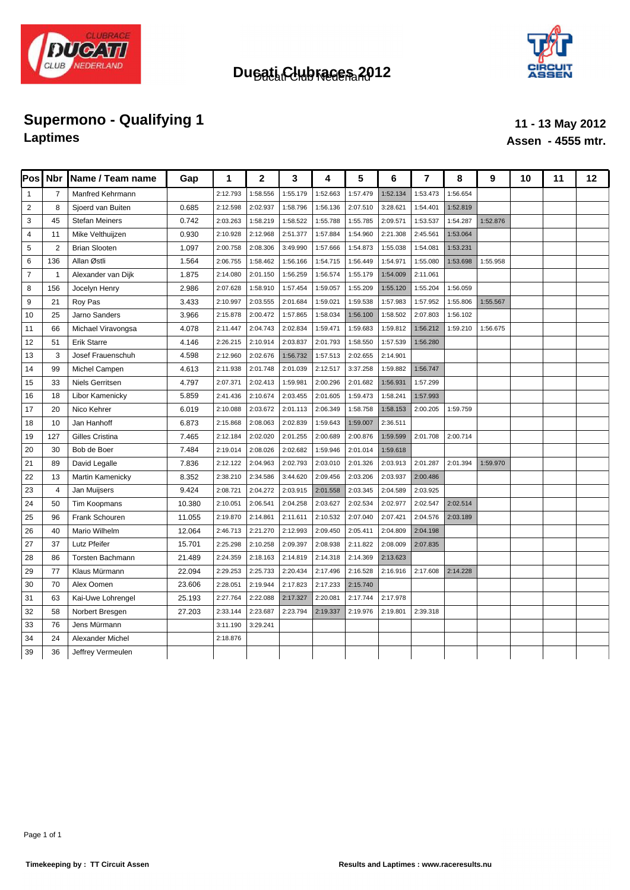



# **Supermono - Qualifying 1 11 - 13 May 2012**<br> **11 - 13 May 2012**<br> **11 - 13 May 2012**

# **Laptimes Assen - 4555 mtr.**

| Pos            | <b>Nbr</b>     | Name / Team name        | Gap    | 1        | $\mathbf{2}$ | 3        | 4        | 5        | 6        | 7        | 8        | 9        | 10 | 11 | 12 |
|----------------|----------------|-------------------------|--------|----------|--------------|----------|----------|----------|----------|----------|----------|----------|----|----|----|
| $\mathbf{1}$   | 7              | <b>Manfred Kehrmann</b> |        | 2:12.793 | 1:58.556     | 1:55.179 | 1:52.663 | 1:57.479 | 1:52.134 | 1:53.473 | 1:56.654 |          |    |    |    |
| $\overline{2}$ | 8              | Sjoerd van Buiten       | 0.685  | 2:12.598 | 2:02.937     | 1:58.796 | 1:56.136 | 2:07.510 | 3:28.621 | 1:54.401 | 1:52.819 |          |    |    |    |
| 3              | 45             | <b>Stefan Meiners</b>   | 0.742  | 2:03.263 | 1:58.219     | 1:58.522 | 1:55.788 | 1:55.785 | 2:09.571 | 1:53.537 | 1:54.287 | 1:52.876 |    |    |    |
| $\overline{4}$ | 11             | Mike Velthuijzen        | 0.930  | 2:10.928 | 2:12.968     | 2:51.377 | 1:57.884 | 1:54.960 | 2:21.308 | 2:45.561 | 1:53.064 |          |    |    |    |
| 5              | $\overline{2}$ | <b>Brian Slooten</b>    | 1.097  | 2:00.758 | 2:08.306     | 3:49.990 | 1:57.666 | 1:54.873 | 1:55.038 | 1:54.081 | 1:53.231 |          |    |    |    |
| 6              | 136            | Allan Østli             | 1.564  | 2:06.755 | 1:58.462     | 1:56.166 | 1:54.715 | 1:56.449 | 1:54.971 | 1:55.080 | 1:53.698 | 1:55.958 |    |    |    |
| $\overline{7}$ | $\overline{1}$ | Alexander van Dijk      | 1.875  | 2:14.080 | 2:01.150     | 1:56.259 | 1:56.574 | 1:55.179 | 1:54.009 | 2:11.061 |          |          |    |    |    |
| 8              | 156            | Jocelyn Henry           | 2.986  | 2:07.628 | 1:58.910     | 1:57.454 | 1:59.057 | 1:55.209 | 1:55.120 | 1:55.204 | 1:56.059 |          |    |    |    |
| 9              | 21             | Roy Pas                 | 3.433  | 2:10.997 | 2:03.555     | 2:01.684 | 1:59.021 | 1:59.538 | 1:57.983 | 1:57.952 | 1:55.806 | 1:55.567 |    |    |    |
| 10             | 25             | Jarno Sanders           | 3.966  | 2:15.878 | 2:00.472     | 1:57.865 | 1:58.034 | 1:56.100 | 1:58.502 | 2:07.803 | 1:56.102 |          |    |    |    |
| 11             | 66             | Michael Viravongsa      | 4.078  | 2:11.447 | 2:04.743     | 2:02.834 | 1:59.471 | 1:59.683 | 1:59.812 | 1:56.212 | 1:59.210 | 1:56.675 |    |    |    |
| 12             | 51             | Erik Starre             | 4.146  | 2:26.215 | 2:10.914     | 2:03.837 | 2:01.793 | 1:58.550 | 1:57.539 | 1:56.280 |          |          |    |    |    |
| 13             | 3              | Josef Frauenschuh       | 4.598  | 2:12.960 | 2:02.676     | 1:56.732 | 1:57.513 | 2:02.655 | 2:14.901 |          |          |          |    |    |    |
| 14             | 99             | Michel Campen           | 4.613  | 2:11.938 | 2:01.748     | 2:01.039 | 2:12.517 | 3:37.258 | 1:59.882 | 1:56.747 |          |          |    |    |    |
| 15             | 33             | Niels Gerritsen         | 4.797  | 2:07.371 | 2:02.413     | 1:59.981 | 2:00.296 | 2:01.682 | 1:56.931 | 1:57.299 |          |          |    |    |    |
| 16             | 18             | Libor Kamenicky         | 5.859  | 2:41.436 | 2:10.674     | 2:03.455 | 2:01.605 | 1:59.473 | 1:58.241 | 1:57.993 |          |          |    |    |    |
| 17             | 20             | Nico Kehrer             | 6.019  | 2:10.088 | 2:03.672     | 2:01.113 | 2:06.349 | 1:58.758 | 1:58.153 | 2:00.205 | 1:59.759 |          |    |    |    |
| 18             | 10             | Jan Hanhoff             | 6.873  | 2:15.868 | 2:08.063     | 2:02.839 | 1:59.643 | 1:59.007 | 2:36.511 |          |          |          |    |    |    |
| 19             | 127            | Gilles Cristina         | 7.465  | 2:12.184 | 2:02.020     | 2:01.255 | 2:00.689 | 2:00.876 | 1:59.599 | 2:01.708 | 2:00.714 |          |    |    |    |
| 20             | 30             | Bob de Boer             | 7.484  | 2:19.014 | 2:08.026     | 2:02.682 | 1:59.946 | 2:01.014 | 1:59.618 |          |          |          |    |    |    |
| 21             | 89             | David Legalle           | 7.836  | 2:12.122 | 2:04.963     | 2:02.793 | 2:03.010 | 2:01.326 | 2:03.913 | 2:01.287 | 2:01.394 | 1:59.970 |    |    |    |
| 22             | 13             | Martin Kamenicky        | 8.352  | 2:38.210 | 2:34.586     | 3:44.620 | 2:09.456 | 2:03.206 | 2:03.937 | 2:00.486 |          |          |    |    |    |
| 23             | $\overline{4}$ | Jan Muijsers            | 9.424  | 2:08.721 | 2:04.272     | 2:03.915 | 2:01.558 | 2:03.345 | 2:04.589 | 2:03.925 |          |          |    |    |    |
| 24             | 50             | Tim Koopmans            | 10.380 | 2:10.051 | 2:06.541     | 2:04.258 | 2:03.627 | 2:02.534 | 2:02.977 | 2:02.547 | 2:02.514 |          |    |    |    |
| 25             | 96             | Frank Schouren          | 11.055 | 2:19.870 | 2:14.861     | 2:11.611 | 2:10.532 | 2:07.040 | 2:07.421 | 2:04.576 | 2:03.189 |          |    |    |    |
| 26             | 40             | Mario Wilhelm           | 12.064 | 2:46.713 | 2:21.270     | 2:12.993 | 2:09.450 | 2:05.411 | 2:04.809 | 2:04.198 |          |          |    |    |    |
| 27             | 37             | Lutz Pfeifer            | 15.701 | 2:25.298 | 2:10.258     | 2:09.397 | 2:08.938 | 2:11.822 | 2:08.009 | 2:07.835 |          |          |    |    |    |
| 28             | 86             | Torsten Bachmann        | 21.489 | 2:24.359 | 2:18.163     | 2:14.819 | 2:14.318 | 2:14.369 | 2:13.623 |          |          |          |    |    |    |
| 29             | 77             | Klaus Mürmann           | 22.094 | 2:29.253 | 2:25.733     | 2:20.434 | 2:17.496 | 2:16.528 | 2:16.916 | 2:17.608 | 2:14.228 |          |    |    |    |
| 30             | 70             | Alex Oomen              | 23.606 | 2:28.051 | 2:19.944     | 2:17.823 | 2:17.233 | 2:15.740 |          |          |          |          |    |    |    |
| 31             | 63             | Kai-Uwe Lohrengel       | 25.193 | 2:27.764 | 2:22.088     | 2:17.327 | 2:20.081 | 2:17.744 | 2:17.978 |          |          |          |    |    |    |
| 32             | 58             | Norbert Bresgen         | 27.203 | 2:33.144 | 2:23.687     | 2:23.794 | 2:19.337 | 2:19.976 | 2:19.801 | 2:39.318 |          |          |    |    |    |
| 33             | 76             | Jens Mürmann            |        | 3:11.190 | 3:29.241     |          |          |          |          |          |          |          |    |    |    |
| 34             | 24             | Alexander Michel        |        | 2:18.876 |              |          |          |          |          |          |          |          |    |    |    |
| 39             | 36             | Jeffrey Vermeulen       |        |          |              |          |          |          |          |          |          |          |    |    |    |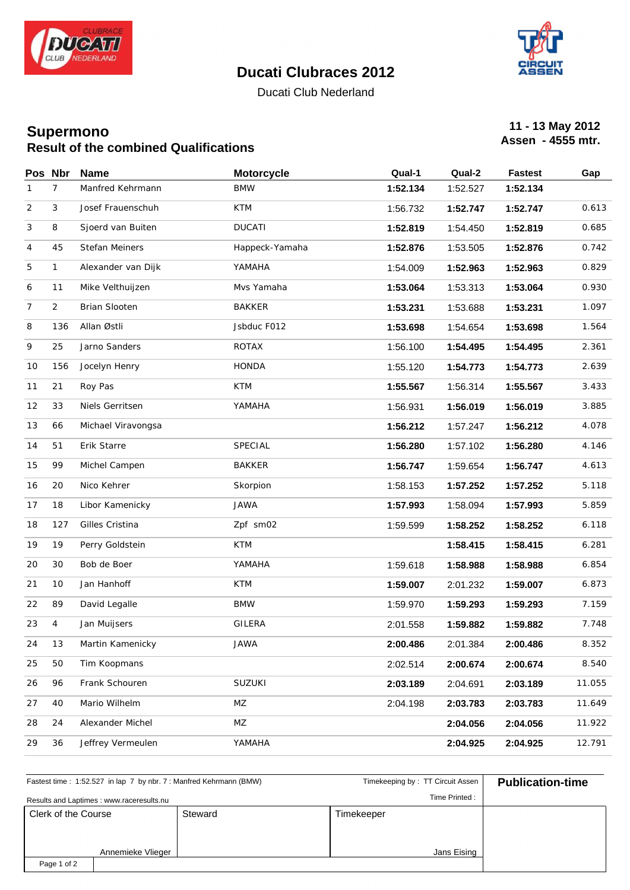

Ducati Club Nederland



# **11 - 13 May 2012**<br> **11 - 13 May 2012**<br> **Assen - 4555 mtr. Assen - 4555 mtr.**

|                | Pos Nbr        | <b>Name</b>        | <b>Motorcycle</b> | Qual-1   | Qual-2   | <b>Fastest</b> | Gap    |
|----------------|----------------|--------------------|-------------------|----------|----------|----------------|--------|
| 1              | $\overline{7}$ | Manfred Kehrmann   | <b>BMW</b>        | 1:52.134 | 1:52.527 | 1:52.134       |        |
| $\overline{c}$ | 3              | Josef Frauenschuh  | <b>KTM</b>        | 1:56.732 | 1:52.747 | 1:52.747       | 0.613  |
| 3              | 8              | Sjoerd van Buiten  | <b>DUCATI</b>     | 1:52.819 | 1:54.450 | 1:52.819       | 0.685  |
| 4              | 45             | Stefan Meiners     | Happeck-Yamaha    | 1:52.876 | 1:53.505 | 1:52.876       | 0.742  |
| 5              | 1              | Alexander van Dijk | YAMAHA            | 1:54.009 | 1:52.963 | 1:52.963       | 0.829  |
| 6              | 11             | Mike Velthuijzen   | Mvs Yamaha        | 1:53.064 | 1:53.313 | 1:53.064       | 0.930  |
| 7              | $\overline{2}$ | Brian Slooten      | BAKKER            | 1:53.231 | 1:53.688 | 1:53.231       | 1.097  |
| 8              | 136            | Allan Østli        | Jsbduc F012       | 1:53.698 | 1:54.654 | 1:53.698       | 1.564  |
| 9              | 25             | Jarno Sanders      | ROTAX             | 1:56.100 | 1:54.495 | 1:54.495       | 2.361  |
| 10             | 156            | Jocelyn Henry      | HONDA             | 1:55.120 | 1:54.773 | 1:54.773       | 2.639  |
| 11             | 21             | Roy Pas            | KTM               | 1:55.567 | 1:56.314 | 1:55.567       | 3.433  |
| 12             | 33             | Niels Gerritsen    | YAMAHA            | 1:56.931 | 1:56.019 | 1:56.019       | 3.885  |
| 13             | 66             | Michael Viravongsa |                   | 1:56.212 | 1:57.247 | 1:56.212       | 4.078  |
| 14             | 51             | Erik Starre        | SPECIAL           | 1:56.280 | 1:57.102 | 1:56.280       | 4.146  |
| 15             | 99             | Michel Campen      | <b>BAKKER</b>     | 1:56.747 | 1:59.654 | 1:56.747       | 4.613  |
| 16             | 20             | Nico Kehrer        | Skorpion          | 1:58.153 | 1:57.252 | 1:57.252       | 5.118  |
| 17             | 18             | Libor Kamenicky    | JAWA              | 1:57.993 | 1:58.094 | 1:57.993       | 5.859  |
| 18             | 127            | Gilles Cristina    | Zpf sm02          | 1:59.599 | 1:58.252 | 1:58.252       | 6.118  |
| 19             | 19             | Perry Goldstein    | KTM               |          | 1:58.415 | 1:58.415       | 6.281  |
| 20             | 30             | Bob de Boer        | YAMAHA            | 1:59.618 | 1:58.988 | 1:58.988       | 6.854  |
| 21             | 10             | Jan Hanhoff        | KTM               | 1:59.007 | 2:01.232 | 1:59.007       | 6.873  |
| 22             | 89             | David Legalle      | <b>BMW</b>        | 1:59.970 | 1:59.293 | 1:59.293       | 7.159  |
| 23             | $\overline{4}$ | Jan Muijsers       | GILERA            | 2:01.558 | 1:59.882 | 1:59.882       | 7.748  |
| 24             | 13             | Martin Kamenicky   | JAWA              | 2:00.486 | 2:01.384 | 2:00.486       | 8.352  |
| 25             | 50             | Tim Koopmans       |                   | 2:02.514 | 2:00.674 | 2:00.674       | 8.540  |
| 26             | 96             | Frank Schouren     | SUZUKI            | 2:03.189 | 2:04.691 | 2:03.189       | 11.055 |
| 27             | 40             | Mario Wilhelm      | MZ                | 2:04.198 | 2:03.783 | 2:03.783       | 11.649 |
| 28             | 24             | Alexander Michel   | MZ                |          | 2:04.056 | 2:04.056       | 11.922 |
| 29             | 36             | Jeffrey Vermeulen  | YAMAHA            |          | 2:04.925 | 2:04.925       | 12.791 |

|                                |                                          | Fastest time: 1:52.527 in lap 7 by nbr. 7: Manfred Kehrmann (BMW) | Timekeeping by: TT Circuit Assen | <b>Publication-time</b> |
|--------------------------------|------------------------------------------|-------------------------------------------------------------------|----------------------------------|-------------------------|
|                                | Results and Laptimes: www.raceresults.nu |                                                                   | Time Printed:                    |                         |
| Clerk of the Course<br>Steward |                                          |                                                                   | Timekeeper                       |                         |
|                                |                                          |                                                                   |                                  |                         |
|                                | Annemieke Vlieger                        |                                                                   | Jans Eising                      |                         |
| Page 1 of 2                    |                                          |                                                                   |                                  |                         |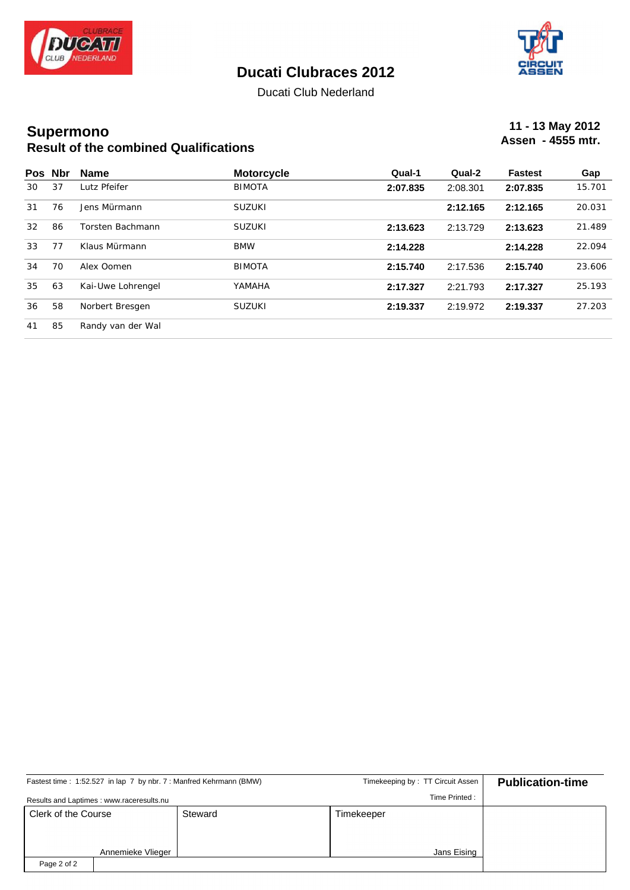



Ducati Club Nederland

# **11 - 13 May 2012**<br> **11 - 13 May 2012**<br> **Assen - 4555 mtr. Assen - 4555 mtr.**

|    | Pos Nbr | <b>Name</b>       | <b>Motorcycle</b> | Qual-1   | Qual-2   | <b>Fastest</b> | Gap    |
|----|---------|-------------------|-------------------|----------|----------|----------------|--------|
| 30 | 37      | Lutz Pfeifer      | <b>BIMOTA</b>     | 2:07.835 | 2:08.301 | 2:07.835       | 15.701 |
| 31 | 76      | Jens Mürmann      | SUZUKI            |          | 2:12.165 | 2:12.165       | 20.031 |
| 32 | 86      | Torsten Bachmann  | <b>SUZUKI</b>     | 2:13.623 | 2:13.729 | 2:13.623       | 21.489 |
| 33 | 77      | Klaus Mürmann     | <b>BMW</b>        | 2:14.228 |          | 2:14.228       | 22.094 |
| 34 | 70      | Alex Oomen        | <b>BIMOTA</b>     | 2:15.740 | 2:17.536 | 2:15.740       | 23.606 |
| 35 | 63      | Kai-Uwe Lohrengel | YAMAHA            | 2:17.327 | 2:21.793 | 2:17.327       | 25.193 |
| 36 | 58      | Norbert Bresgen   | <b>SUZUKI</b>     | 2:19.337 | 2:19.972 | 2:19.337       | 27.203 |
| 41 | 85      | Randy van der Wal |                   |          |          |                |        |

|                     |                                          | Fastest time: 1:52.527 in lap 7 by nbr. 7: Manfred Kehrmann (BMW) | Timekeeping by: TT Circuit Assen | <b>Publication-time</b> |
|---------------------|------------------------------------------|-------------------------------------------------------------------|----------------------------------|-------------------------|
|                     | Results and Laptimes: www.raceresults.nu |                                                                   | Time Printed:                    |                         |
| Clerk of the Course |                                          | Steward                                                           | Timekeeper                       |                         |
|                     |                                          |                                                                   |                                  |                         |
|                     | Annemieke Vlieger                        |                                                                   | Jans Eising                      |                         |
| Page 2 of 2         |                                          |                                                                   |                                  |                         |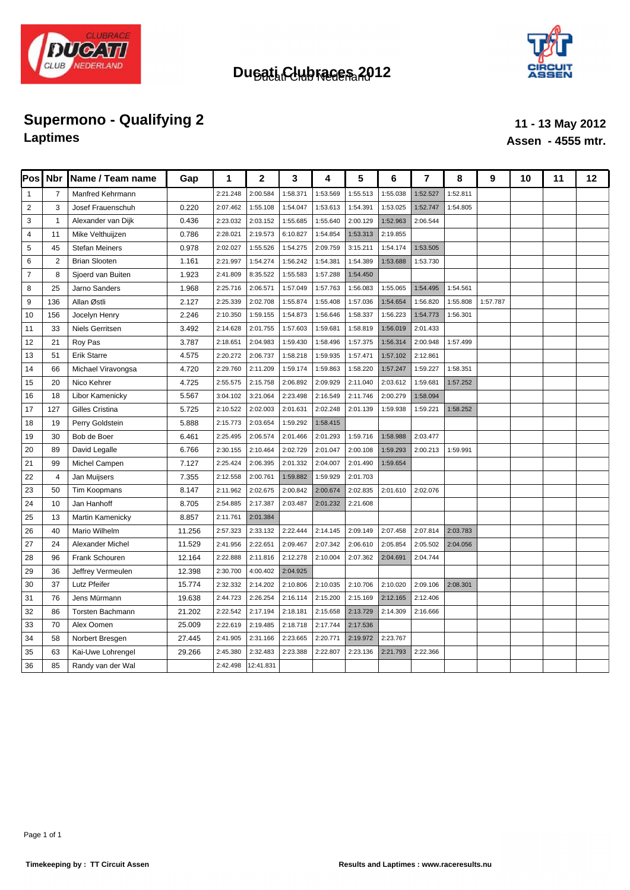



# **Supermono - Qualifying 2 11 - 13 May 2012**<br> **11 - 13 May 2012**<br> **11 - 13 May 2012**

# **Laptimes Assen - 4555 mtr.**

| $\overline{\mathsf{Pos}}$ | <b>Nbr</b>     | Name / Team name      | Gap    | 1        | $\overline{2}$ | 3        | 4        | 5        | 6        | $\overline{7}$ | 8        | 9        | 10 | 11 | 12 |
|---------------------------|----------------|-----------------------|--------|----------|----------------|----------|----------|----------|----------|----------------|----------|----------|----|----|----|
| $\mathbf{1}$              | $\overline{7}$ | Manfred Kehrmann      |        | 2:21.248 | 2:00.584       | 1:58.371 | 1:53.569 | 1:55.513 | 1:55.038 | 1:52.527       | 1:52.811 |          |    |    |    |
| $\overline{2}$            | 3              | Josef Frauenschuh     | 0.220  | 2:07.462 | 1:55.108       | 1:54.047 | 1:53.613 | 1:54.391 | 1:53.025 | 1:52.747       | 1:54.805 |          |    |    |    |
| 3                         | $\mathbf{1}$   | Alexander van Dijk    | 0.436  | 2:23.032 | 2:03.152       | 1:55.685 | 1:55.640 | 2:00.129 | 1:52.963 | 2:06.544       |          |          |    |    |    |
| $\overline{4}$            | 11             | Mike Velthuijzen      | 0.786  | 2:28.021 | 2:19.573       | 6:10.827 | 1:54.854 | 1:53.313 | 2:19.855 |                |          |          |    |    |    |
| 5                         | 45             | <b>Stefan Meiners</b> | 0.978  | 2:02.027 | 1:55.526       | 1:54.275 | 2:09.759 | 3:15.211 | 1:54.174 | 1:53.505       |          |          |    |    |    |
| 6                         | 2              | <b>Brian Slooten</b>  | 1.161  | 2:21.997 | 1:54.274       | 1:56.242 | 1:54.381 | 1:54.389 | 1:53.688 | 1:53.730       |          |          |    |    |    |
| $\overline{7}$            | 8              | Sjoerd van Buiten     | 1.923  | 2:41.809 | 8:35.522       | 1:55.583 | 1:57.288 | 1:54.450 |          |                |          |          |    |    |    |
| 8                         | 25             | Jarno Sanders         | 1.968  | 2:25.716 | 2:06.571       | 1:57.049 | 1:57.763 | 1:56.083 | 1:55.065 | 1:54.495       | 1:54.561 |          |    |    |    |
| 9                         | 136            | Allan Østli           | 2.127  | 2:25.339 | 2:02.708       | 1:55.874 | 1:55.408 | 1:57.036 | 1:54.654 | 1:56.820       | 1:55.808 | 1:57.787 |    |    |    |
| 10                        | 156            | Jocelyn Henry         | 2.246  | 2:10.350 | 1:59.155       | 1:54.873 | 1:56.646 | 1:58.337 | 1:56.223 | 1:54.773       | 1:56.301 |          |    |    |    |
| 11                        | 33             | Niels Gerritsen       | 3.492  | 2:14.628 | 2:01.755       | 1:57.603 | 1:59.681 | 1:58.819 | 1:56.019 | 2:01.433       |          |          |    |    |    |
| 12                        | 21             | Roy Pas               | 3.787  | 2:18.651 | 2:04.983       | 1:59.430 | 1:58.496 | 1:57.375 | 1:56.314 | 2:00.948       | 1:57.499 |          |    |    |    |
| 13                        | 51             | Erik Starre           | 4.575  | 2:20.272 | 2:06.737       | 1:58.218 | 1:59.935 | 1:57.471 | 1:57.102 | 2:12.861       |          |          |    |    |    |
| 14                        | 66             | Michael Viravongsa    | 4.720  | 2:29.760 | 2:11.209       | 1:59.174 | 1:59.863 | 1:58.220 | 1:57.247 | 1:59.227       | 1:58.351 |          |    |    |    |
| 15                        | 20             | Nico Kehrer           | 4.725  | 2:55.575 | 2:15.758       | 2:06.892 | 2:09.929 | 2:11.040 | 2:03.612 | 1:59.681       | 1:57.252 |          |    |    |    |
| 16                        | 18             | Libor Kamenicky       | 5.567  | 3:04.102 | 3:21.064       | 2:23.498 | 2:16.549 | 2:11.746 | 2:00.279 | 1:58.094       |          |          |    |    |    |
| 17                        | 127            | Gilles Cristina       | 5.725  | 2:10.522 | 2:02.003       | 2:01.631 | 2:02.248 | 2:01.139 | 1:59.938 | 1:59.221       | 1:58.252 |          |    |    |    |
| 18                        | 19             | Perry Goldstein       | 5.888  | 2:15.773 | 2:03.654       | 1:59.292 | 1:58.415 |          |          |                |          |          |    |    |    |
| 19                        | 30             | Bob de Boer           | 6.461  | 2:25.495 | 2:06.574       | 2:01.466 | 2:01.293 | 1:59.716 | 1:58.988 | 2:03.477       |          |          |    |    |    |
| 20                        | 89             | David Legalle         | 6.766  | 2:30.155 | 2:10.464       | 2:02.729 | 2:01.047 | 2:00.108 | 1:59.293 | 2:00.213       | 1:59.991 |          |    |    |    |
| 21                        | 99             | Michel Campen         | 7.127  | 2:25.424 | 2:06.395       | 2:01.332 | 2:04.007 | 2:01.490 | 1:59.654 |                |          |          |    |    |    |
| 22                        | $\overline{4}$ | Jan Muijsers          | 7.355  | 2:12.558 | 2:00.761       | 1:59.882 | 1:59.929 | 2:01.703 |          |                |          |          |    |    |    |
| 23                        | 50             | Tim Koopmans          | 8.147  | 2:11.962 | 2:02.675       | 2:00.842 | 2:00.674 | 2:02.835 | 2:01.610 | 2:02.076       |          |          |    |    |    |
| 24                        | 10             | Jan Hanhoff           | 8.705  | 2:54.885 | 2:17.387       | 2:03.487 | 2:01.232 | 2:21.608 |          |                |          |          |    |    |    |
| 25                        | 13             | Martin Kamenicky      | 8.857  | 2:11.761 | 2:01.384       |          |          |          |          |                |          |          |    |    |    |
| 26                        | 40             | Mario Wilhelm         | 11.256 | 2:57.323 | 2:33.132       | 2:22.444 | 2:14.145 | 2:09.149 | 2:07.458 | 2:07.814       | 2:03.783 |          |    |    |    |
| 27                        | 24             | Alexander Michel      | 11.529 | 2:41.956 | 2:22.651       | 2:09.467 | 2:07.342 | 2:06.610 | 2:05.854 | 2:05.502       | 2:04.056 |          |    |    |    |
| 28                        | 96             | Frank Schouren        | 12.164 | 2:22.888 | 2:11.816       | 2:12.278 | 2:10.004 | 2:07.362 | 2:04.691 | 2:04.744       |          |          |    |    |    |
| 29                        | 36             | Jeffrey Vermeulen     | 12.398 | 2:30.700 | 4:00.402       | 2:04.925 |          |          |          |                |          |          |    |    |    |
| 30                        | 37             | Lutz Pfeifer          | 15.774 | 2:32.332 | 2:14.202       | 2:10.806 | 2:10.035 | 2:10.706 | 2:10.020 | 2:09.106       | 2:08.301 |          |    |    |    |
| 31                        | 76             | Jens Mürmann          | 19.638 | 2:44.723 | 2:26.254       | 2:16.114 | 2:15.200 | 2:15.169 | 2:12.165 | 2:12.406       |          |          |    |    |    |
| 32                        | 86             | Torsten Bachmann      | 21.202 | 2:22.542 | 2:17.194       | 2:18.181 | 2:15.658 | 2:13.729 | 2:14.309 | 2:16.666       |          |          |    |    |    |
| 33                        | 70             | Alex Oomen            | 25.009 | 2:22.619 | 2:19.485       | 2:18.718 | 2:17.744 | 2:17.536 |          |                |          |          |    |    |    |
| 34                        | 58             | Norbert Bresgen       | 27.445 | 2:41.905 | 2:31.166       | 2:23.665 | 2:20.771 | 2:19.972 | 2:23.767 |                |          |          |    |    |    |
| 35                        | 63             | Kai-Uwe Lohrengel     | 29.266 | 2:45.380 | 2:32.483       | 2:23.388 | 2:22.807 | 2:23.136 | 2:21.793 | 2:22.366       |          |          |    |    |    |
| 36                        | 85             | Randy van der Wal     |        | 2:42.498 | 12:41.831      |          |          |          |          |                |          |          |    |    |    |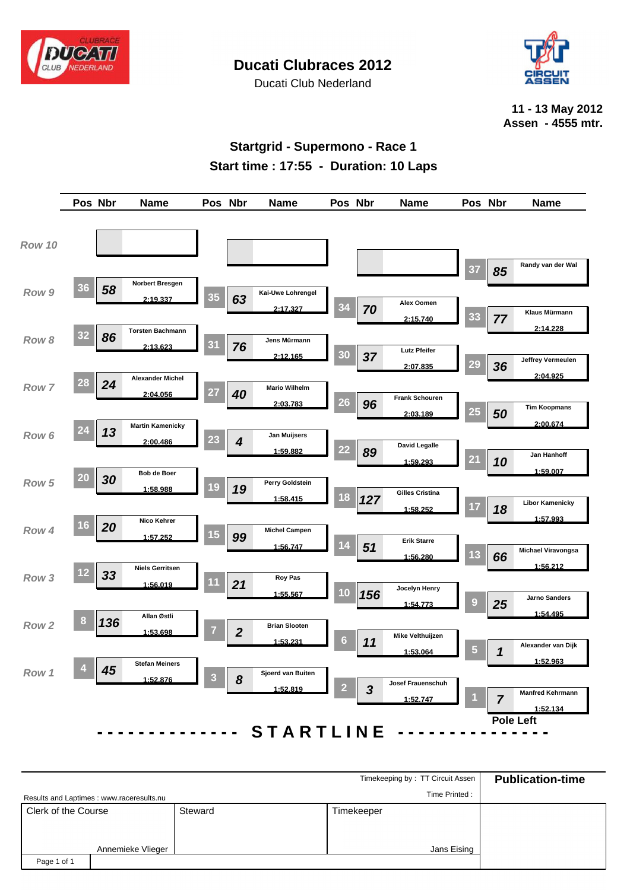

Ducati Club Nederland



**11 - 13 May 2012 Assen - 4555 mtr.**

### **Startgrid - Supermono - Race 1 Start time : 17:55 - Duration: 10 Laps**



|                     |                                           |         | Timekeeping by: TT Circuit Assen | <b>Publication-time</b> |
|---------------------|-------------------------------------------|---------|----------------------------------|-------------------------|
|                     | Results and Laptimes : www.raceresults.nu |         | Time Printed:                    |                         |
| Clerk of the Course |                                           | Steward | Timekeeper                       |                         |
|                     |                                           |         |                                  |                         |
|                     | Annemieke Vlieger                         |         | Jans Eising                      |                         |
| Page 1 of 1         |                                           |         |                                  |                         |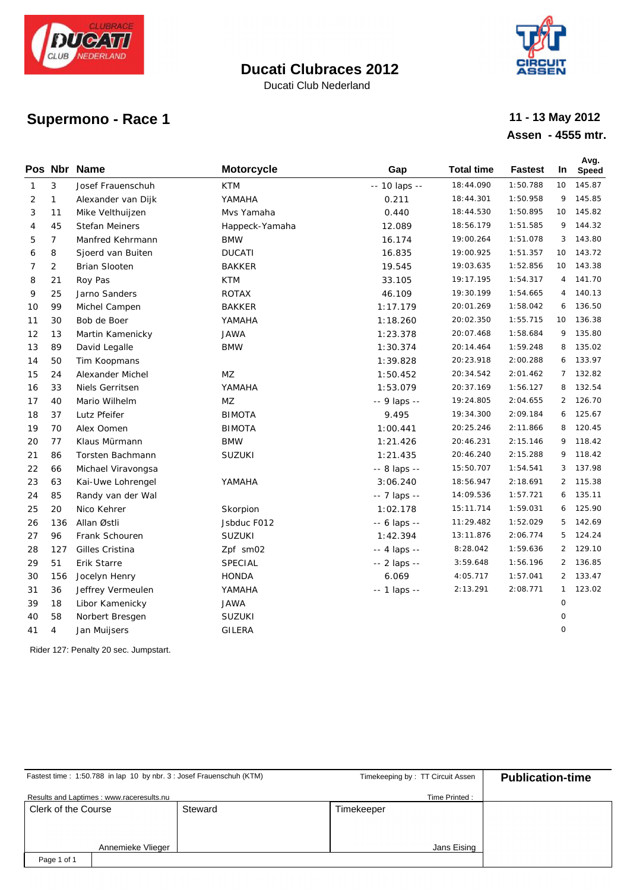

Ducati Club Nederland



# **Supermono - Race 1**

### **Assen - 4555 mtr. 11 - 13 May 2012**

|              |                | Pos Nbr Name       | <b>Motorcycle</b> | Gap           | <b>Total time</b> | <b>Fastest</b> | In.            | Avg.<br><b>Speed</b> |
|--------------|----------------|--------------------|-------------------|---------------|-------------------|----------------|----------------|----------------------|
| $\mathbf{1}$ | 3              | Josef Frauenschuh  | <b>KTM</b>        | -- 10 laps -- | 18:44.090         | 1:50.788       | 10             | 145.87               |
| 2            | $\mathbf{1}$   | Alexander van Dijk | YAMAHA            | 0.211         | 18:44.301         | 1:50.958       | 9              | 145.85               |
| 3            | 11             | Mike Velthuijzen   | Mvs Yamaha        | 0.440         | 18:44.530         | 1:50.895       | 10             | 145.82               |
| 4            | 45             | Stefan Meiners     | Happeck-Yamaha    | 12.089        | 18:56.179         | 1:51.585       | 9              | 144.32               |
| 5            | $\overline{7}$ | Manfred Kehrmann   | <b>BMW</b>        | 16.174        | 19:00.264         | 1:51.078       | 3              | 143.80               |
| 6            | 8              | Sjoerd van Buiten  | <b>DUCATI</b>     | 16.835        | 19:00.925         | 1:51.357       | 10             | 143.72               |
| 7            | $\overline{2}$ | Brian Slooten      | <b>BAKKER</b>     | 19.545        | 19:03.635         | 1:52.856       | 10             | 143.38               |
| 8            | 21             | Roy Pas            | <b>KTM</b>        | 33.105        | 19:17.195         | 1:54.317       | 4              | 141.70               |
| 9            | 25             | Jarno Sanders      | <b>ROTAX</b>      | 46.109        | 19:30.199         | 1:54.665       | 4              | 140.13               |
| 10           | 99             | Michel Campen      | <b>BAKKER</b>     | 1:17.179      | 20:01.269         | 1:58.042       | 6              | 136.50               |
| 11           | 30             | Bob de Boer        | YAMAHA            | 1:18.260      | 20:02.350         | 1:55.715       | 10             | 136.38               |
| 12           | 13             | Martin Kamenicky   | <b>JAWA</b>       | 1:23.378      | 20:07.468         | 1:58.684       | 9              | 135.80               |
| 13           | 89             | David Legalle      | <b>BMW</b>        | 1:30.374      | 20:14.464         | 1:59.248       | 8              | 135.02               |
| 14           | 50             | Tim Koopmans       |                   | 1:39.828      | 20:23.918         | 2:00.288       | 6              | 133.97               |
| 15           | 24             | Alexander Michel   | MZ                | 1:50.452      | 20:34.542         | 2:01.462       |                | 7 132.82             |
| 16           | 33             | Niels Gerritsen    | YAMAHA            | 1:53.079      | 20:37.169         | 1:56.127       | 8              | 132.54               |
| 17           | 40             | Mario Wilhelm      | MZ                | -- 9 laps --  | 19:24.805         | 2:04.655       |                | 2 126.70             |
| 18           | 37             | Lutz Pfeifer       | <b>BIMOTA</b>     | 9.495         | 19:34.300         | 2:09.184       | 6              | 125.67               |
| 19           | 70             | Alex Oomen         | <b>BIMOTA</b>     | 1:00.441      | 20:25.246         | 2:11.866       | 8              | 120.45               |
| 20           | 77             | Klaus Mürmann      | <b>BMW</b>        | 1:21.426      | 20:46.231         | 2:15.146       | 9              | 118.42               |
| 21           | 86             | Torsten Bachmann   | SUZUKI            | 1:21.435      | 20:46.240         | 2:15.288       | 9              | 118.42               |
| 22           | 66             | Michael Viravongsa |                   | -- 8 laps --  | 15:50.707         | 1:54.541       | 3              | 137.98               |
| 23           | 63             | Kai-Uwe Lohrengel  | YAMAHA            | 3:06.240      | 18:56.947         | 2:18.691       | $\overline{2}$ | 115.38               |
| 24           | 85             | Randy van der Wal  |                   | -- 7 laps --  | 14:09.536         | 1:57.721       | 6              | 135.11               |
| 25           | 20             | Nico Kehrer        | Skorpion          | 1:02.178      | 15:11.714         | 1:59.031       | 6              | 125.90               |
| 26           | 136            | Allan Østli        | Jsbduc F012       | -- 6 laps --  | 11:29.482         | 1:52.029       | 5              | 142.69               |
| 27           | 96             | Frank Schouren     | <b>SUZUKI</b>     | 1:42.394      | 13:11.876         | 2:06.774       | 5              | 124.24               |
| 28           | 127            | Gilles Cristina    | Zpf sm02          | -- 4 laps --  | 8:28.042          | 1:59.636       | $\overline{2}$ | 129.10               |
| 29           | 51             | Erik Starre        | SPECIAL           | -- 2 laps --  | 3:59.648          | 1:56.196       | $\overline{2}$ | 136.85               |
| 30           | 156            | Jocelyn Henry      | HONDA             | 6.069         | 4:05.717          | 1:57.041       | $\overline{2}$ | 133.47               |
| 31           | 36             | Jeffrey Vermeulen  | YAMAHA            | -- 1 laps --  | 2:13.291          | 2:08.771       | $\mathbf{1}$   | 123.02               |
| 39           | 18             | Libor Kamenicky    | <b>JAWA</b>       |               |                   |                | $\mathsf{O}$   |                      |
| 40           | 58             | Norbert Bresgen    | SUZUKI            |               |                   |                | 0              |                      |
| 41           | $\overline{4}$ | Jan Muijsers       | GILERA            |               |                   |                | O              |                      |
|              |                |                    |                   |               |                   |                |                |                      |

Rider 127: Penalty 20 sec. Jumpstart.

| Fastest time: 1:50.788 in lap 10 by nbr. 3 : Josef Frauenschuh (KTM) |         | Timekeeping by: TT Circuit Assen | <b>Publication-time</b> |
|----------------------------------------------------------------------|---------|----------------------------------|-------------------------|
| Results and Laptimes : www.raceresults.nu                            |         | Time Printed:                    |                         |
| Clerk of the Course                                                  | Steward | Timekeeper                       |                         |
|                                                                      |         |                                  |                         |
|                                                                      |         |                                  |                         |
| Annemieke Vlieger                                                    |         | Jans Eising                      |                         |
| Page 1 of 1                                                          |         |                                  |                         |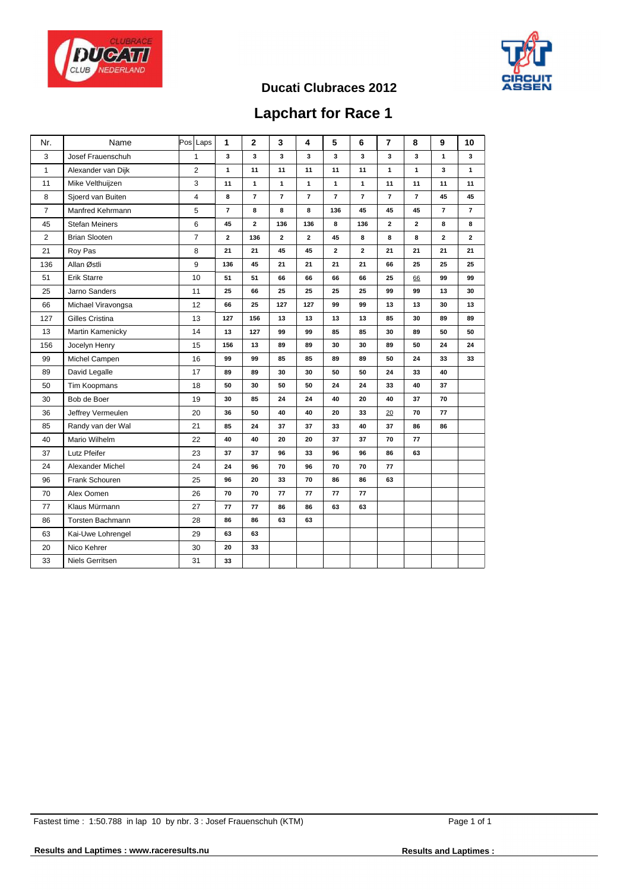



## **Lapchart for Race 1**

| Nr.            | Name                  | Pos Laps       | 1              | $\mathbf{2}$            | 3              | 4              | 5              | 6            | $\overline{7}$ | 8              | 9              | 10             |
|----------------|-----------------------|----------------|----------------|-------------------------|----------------|----------------|----------------|--------------|----------------|----------------|----------------|----------------|
| 3              | Josef Frauenschuh     | $\mathbf{1}$   | 3              | 3                       | 3              | 3              | 3              | 3            | 3              | 3              | $\mathbf{1}$   | 3              |
| $\mathbf{1}$   | Alexander van Dijk    | 2              | $\mathbf{1}$   | 11                      | 11             | 11             | 11             | 11           | 1              | $\mathbf{1}$   | 3              | $\mathbf{1}$   |
| 11             | Mike Velthuijzen      | 3              | 11             | $\mathbf{1}$            | 1              | 1              | 1              | 1            | 11             | 11             | 11             | 11             |
| 8              | Sjoerd van Buiten     | $\overline{4}$ | 8              | $\overline{7}$          | $\overline{7}$ | $\overline{7}$ | $\overline{7}$ | $\mathbf{7}$ | $\overline{7}$ | $\overline{7}$ | 45             | 45             |
| $\overline{7}$ | Manfred Kehrmann      | 5              | $\overline{7}$ | 8                       | 8              | 8              | 136            | 45           | 45             | 45             | $\overline{7}$ | $\overline{7}$ |
| 45             | <b>Stefan Meiners</b> | 6              | 45             | $\overline{\mathbf{2}}$ | 136            | 136            | 8              | 136          | $\mathbf{2}$   | $\overline{2}$ | 8              | 8              |
| $\overline{2}$ | <b>Brian Slooten</b>  | $\overline{7}$ | $\mathbf{z}$   | 136                     | $\mathbf{z}$   | $\mathbf{z}$   | 45             | 8            | 8              | 8              | $\mathbf{z}$   | $\mathbf{2}$   |
| 21             | Roy Pas               | 8              | 21             | 21                      | 45             | 45             | 2              | $\mathbf 2$  | 21             | 21             | 21             | 21             |
| 136            | Allan Østli           | 9              | 136            | 45                      | 21             | 21             | 21             | 21           | 66             | 25             | 25             | 25             |
| 51             | Erik Starre           | 10             | 51             | 51                      | 66             | 66             | 66             | 66           | 25             | 66             | 99             | 99             |
| 25             | Jarno Sanders         | 11             | 25             | 66                      | 25             | 25             | 25             | 25           | 99             | 99             | 13             | 30             |
| 66             | Michael Viravongsa    | 12             | 66             | 25                      | 127            | 127            | 99             | 99           | 13             | 13             | 30             | 13             |
| 127            | Gilles Cristina       | 13             | 127            | 156                     | 13             | 13             | 13             | 13           | 85             | 30             | 89             | 89             |
| 13             | Martin Kamenicky      | 14             | 13             | 127                     | 99             | 99             | 85             | 85           | 30             | 89             | 50             | 50             |
| 156            | Jocelyn Henry         | 15             | 156            | 13                      | 89             | 89             | 30             | 30           | 89             | 50             | 24             | 24             |
| 99             | Michel Campen         | 16             | 99             | 99                      | 85             | 85             | 89             | 89           | 50             | 24             | 33             | 33             |
| 89             | David Legalle         | 17             | 89             | 89                      | 30             | 30             | 50             | 50           | 24             | 33             | 40             |                |
| 50             | Tim Koopmans          | 18             | 50             | 30                      | 50             | 50             | 24             | 24           | 33             | 40             | 37             |                |
| 30             | Bob de Boer           | 19             | 30             | 85                      | 24             | 24             | 40             | 20           | 40             | 37             | 70             |                |
| 36             | Jeffrey Vermeulen     | 20             | 36             | 50                      | 40             | 40             | 20             | 33           | 20             | 70             | 77             |                |
| 85             | Randy van der Wal     | 21             | 85             | 24                      | 37             | 37             | 33             | 40           | 37             | 86             | 86             |                |
| 40             | Mario Wilhelm         | 22             | 40             | 40                      | 20             | 20             | 37             | 37           | 70             | 77             |                |                |
| 37             | Lutz Pfeifer          | 23             | 37             | 37                      | 96             | 33             | 96             | 96           | 86             | 63             |                |                |
| 24             | Alexander Michel      | 24             | 24             | 96                      | 70             | 96             | 70             | 70           | 77             |                |                |                |
| 96             | Frank Schouren        | 25             | 96             | 20                      | 33             | 70             | 86             | 86           | 63             |                |                |                |
| 70             | Alex Oomen            | 26             | 70             | 70                      | 77             | 77             | 77             | 77           |                |                |                |                |
| 77             | Klaus Mürmann         | 27             | 77             | 77                      | 86             | 86             | 63             | 63           |                |                |                |                |
| 86             | Torsten Bachmann      | 28             | 86             | 86                      | 63             | 63             |                |              |                |                |                |                |
| 63             | Kai-Uwe Lohrengel     | 29             | 63             | 63                      |                |                |                |              |                |                |                |                |
| 20             | Nico Kehrer           | 30             | 20             | 33                      |                |                |                |              |                |                |                |                |
| 33             | Niels Gerritsen       | 31             | 33             |                         |                |                |                |              |                |                |                |                |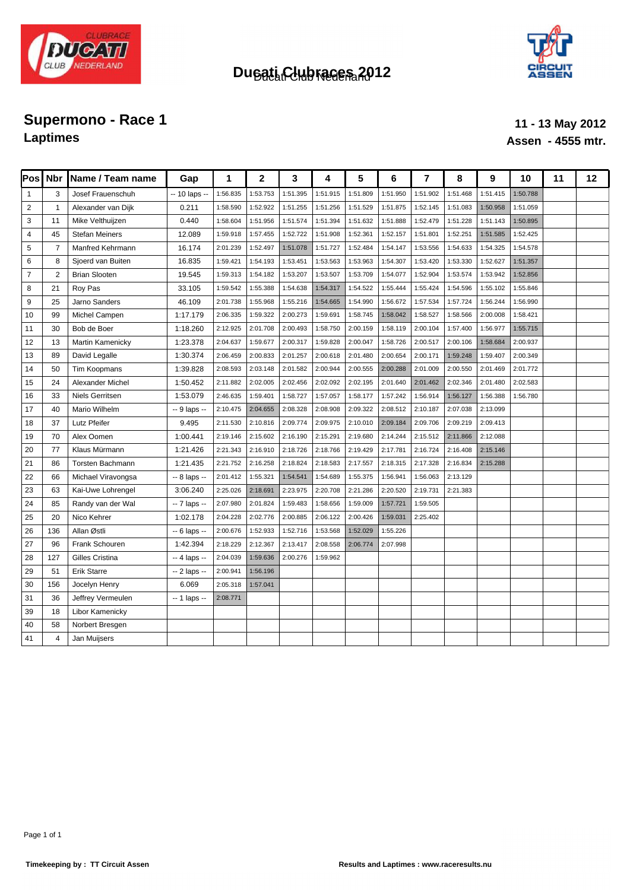



## **Supermono - Race 1 11 - 13 May 2012**<br> **Laptimes 11 - 13 May 2012 Laptimes Assen - 4555 mtr.**

| Pos            | <b>Nbr</b>     | Name / Team name       | Gap           | 1        | $\mathbf{2}$ | 3        | 4        | 5        | 6        | $\overline{7}$ | 8        | 9        | 10       | 11 | 12 |
|----------------|----------------|------------------------|---------------|----------|--------------|----------|----------|----------|----------|----------------|----------|----------|----------|----|----|
| $\mathbf{1}$   | 3              | Josef Frauenschuh      | -- 10 laps -- | 1:56.835 | 1:53.753     | 1:51.395 | 1:51.915 | 1:51.809 | 1:51.950 | 1:51.902       | 1:51.468 | 1:51.415 | 1:50.788 |    |    |
| $\overline{2}$ | $\overline{1}$ | Alexander van Dijk     | 0.211         | 1:58.590 | 1:52.922     | 1:51.255 | 1:51.256 | 1:51.529 | 1:51.875 | 1:52.145       | 1:51.083 | 1:50.958 | 1:51.059 |    |    |
| 3              | 11             | Mike Velthuijzen       | 0.440         | 1:58.604 | 1:51.956     | 1:51.574 | 1:51.394 | 1:51.632 | 1:51.888 | 1:52.479       | 1:51.228 | 1:51.143 | 1:50.895 |    |    |
| $\overline{4}$ | 45             | <b>Stefan Meiners</b>  | 12.089        | 1:59.918 | 1:57.455     | 1:52.722 | 1:51.908 | 1:52.361 | 1:52.157 | 1:51.801       | 1:52.251 | 1:51.585 | 1:52.425 |    |    |
| 5              | $\overline{7}$ | Manfred Kehrmann       | 16.174        | 2:01.239 | 1:52.497     | 1:51.078 | 1:51.727 | 1:52.484 | 1:54.147 | 1:53.556       | 1:54.633 | 1:54.325 | 1:54.578 |    |    |
| 6              | 8              | Sjoerd van Buiten      | 16.835        | 1:59.421 | 1:54.193     | 1:53.451 | 1:53.563 | 1:53.963 | 1:54.307 | 1:53.420       | 1:53.330 | 1:52.627 | 1:51.357 |    |    |
| $\overline{7}$ | $\overline{2}$ | <b>Brian Slooten</b>   | 19.545        | 1:59.313 | 1:54.182     | 1:53.207 | 1:53.507 | 1:53.709 | 1:54.077 | 1:52.904       | 1:53.574 | 1:53.942 | 1:52.856 |    |    |
| 8              | 21             | Roy Pas                | 33.105        | 1:59.542 | 1:55.388     | 1:54.638 | 1:54.317 | 1:54.522 | 1:55.444 | 1:55.424       | 1:54.596 | 1:55.102 | 1:55.846 |    |    |
| 9              | 25             | Jarno Sanders          | 46.109        | 2:01.738 | 1:55.968     | 1:55.216 | 1:54.665 | 1:54.990 | 1:56.672 | 1:57.534       | 1:57.724 | 1:56.244 | 1:56.990 |    |    |
| 10             | 99             | Michel Campen          | 1:17.179      | 2:06.335 | 1:59.322     | 2:00.273 | 1:59.691 | 1:58.745 | 1:58.042 | 1:58.527       | 1:58.566 | 2:00.008 | 1:58.421 |    |    |
| 11             | 30             | Bob de Boer            | 1:18.260      | 2:12.925 | 2:01.708     | 2:00.493 | 1:58.750 | 2:00.159 | 1:58.119 | 2:00.104       | 1:57.400 | 1:56.977 | 1:55.715 |    |    |
| 12             | 13             | Martin Kamenicky       | 1:23.378      | 2:04.637 | 1:59.677     | 2:00.317 | 1:59.828 | 2:00.047 | 1:58.726 | 2:00.517       | 2:00.106 | 1:58.684 | 2:00.937 |    |    |
| 13             | 89             | David Legalle          | 1:30.374      | 2:06.459 | 2:00.833     | 2:01.257 | 2:00.618 | 2:01.480 | 2:00.654 | 2:00.171       | 1:59.248 | 1:59.407 | 2:00.349 |    |    |
| 14             | 50             | Tim Koopmans           | 1:39.828      | 2:08.593 | 2:03.148     | 2:01.582 | 2:00.944 | 2:00.555 | 2:00.288 | 2:01.009       | 2:00.550 | 2:01.469 | 2:01.772 |    |    |
| 15             | 24             | Alexander Michel       | 1:50.452      | 2:11.882 | 2:02.005     | 2:02.456 | 2:02.092 | 2:02.195 | 2:01.640 | 2:01.462       | 2:02.346 | 2:01.480 | 2:02.583 |    |    |
| 16             | 33             | <b>Niels Gerritsen</b> | 1:53.079      | 2:46.635 | 1:59.401     | 1:58.727 | 1:57.057 | 1:58.177 | 1:57.242 | 1:56.914       | 1:56.127 | 1:56.388 | 1:56.780 |    |    |
| 17             | 40             | Mario Wilhelm          | -- 9 laps --  | 2:10.475 | 2:04.655     | 2:08.328 | 2:08.908 | 2:09.322 | 2:08.512 | 2:10.187       | 2:07.038 | 2:13.099 |          |    |    |
| 18             | 37             | Lutz Pfeifer           | 9.495         | 2:11.530 | 2:10.816     | 2:09.774 | 2:09.975 | 2:10.010 | 2:09.184 | 2:09.706       | 2:09.219 | 2:09.413 |          |    |    |
| 19             | 70             | Alex Oomen             | 1:00.441      | 2:19.146 | 2:15.602     | 2:16.190 | 2:15.291 | 2:19.680 | 2:14.244 | 2:15.512       | 2:11.866 | 2:12.088 |          |    |    |
| 20             | 77             | Klaus Mürmann          | 1:21.426      | 2:21.343 | 2:16.910     | 2:18.726 | 2:18.766 | 2:19.429 | 2:17.781 | 2:16.724       | 2:16.408 | 2:15.146 |          |    |    |
| 21             | 86             | Torsten Bachmann       | 1:21.435      | 2:21.752 | 2:16.258     | 2:18.824 | 2:18.583 | 2:17.557 | 2:18.315 | 2:17.328       | 2:16.834 | 2:15.288 |          |    |    |
| 22             | 66             | Michael Viravongsa     | -- 8 laps --  | 2:01.412 | 1:55.321     | 1:54.541 | 1:54.689 | 1:55.375 | 1:56.941 | 1:56.063       | 2:13.129 |          |          |    |    |
| 23             | 63             | Kai-Uwe Lohrengel      | 3:06.240      | 2:25.026 | 2:18.691     | 2:23.975 | 2:20.708 | 2:21.286 | 2:20.520 | 2:19.731       | 2:21.383 |          |          |    |    |
| 24             | 85             | Randy van der Wal      | -- 7 laps --  | 2:07.980 | 2:01.824     | 1:59.483 | 1:58.656 | 1:59.009 | 1:57.721 | 1:59.505       |          |          |          |    |    |
| 25             | 20             | Nico Kehrer            | 1:02.178      | 2:04.228 | 2:02.776     | 2:00.885 | 2:06.122 | 2:00.426 | 1:59.031 | 2:25.402       |          |          |          |    |    |
| 26             | 136            | Allan Østli            | -- 6 laps --  | 2:00.676 | 1:52.933     | 1:52.716 | 1:53.568 | 1:52.029 | 1:55.226 |                |          |          |          |    |    |
| 27             | 96             | Frank Schouren         | 1:42.394      | 2:18.229 | 2:12.367     | 2:13.417 | 2:08.558 | 2:06.774 | 2:07.998 |                |          |          |          |    |    |
| 28             | 127            | Gilles Cristina        | -- 4 laps --  | 2:04.039 | 1:59.636     | 2:00.276 | 1:59.962 |          |          |                |          |          |          |    |    |
| 29             | 51             | Erik Starre            | -- 2 laps --  | 2:00.941 | 1:56.196     |          |          |          |          |                |          |          |          |    |    |
| 30             | 156            | Jocelyn Henry          | 6.069         | 2:05.318 | 1:57.041     |          |          |          |          |                |          |          |          |    |    |
| 31             | 36             | Jeffrey Vermeulen      | $-1$ laps $-$ | 2:08.771 |              |          |          |          |          |                |          |          |          |    |    |
| 39             | 18             | Libor Kamenicky        |               |          |              |          |          |          |          |                |          |          |          |    |    |
| 40             | 58             | Norbert Bresgen        |               |          |              |          |          |          |          |                |          |          |          |    |    |
| 41             | $\overline{4}$ | Jan Muijsers           |               |          |              |          |          |          |          |                |          |          |          |    |    |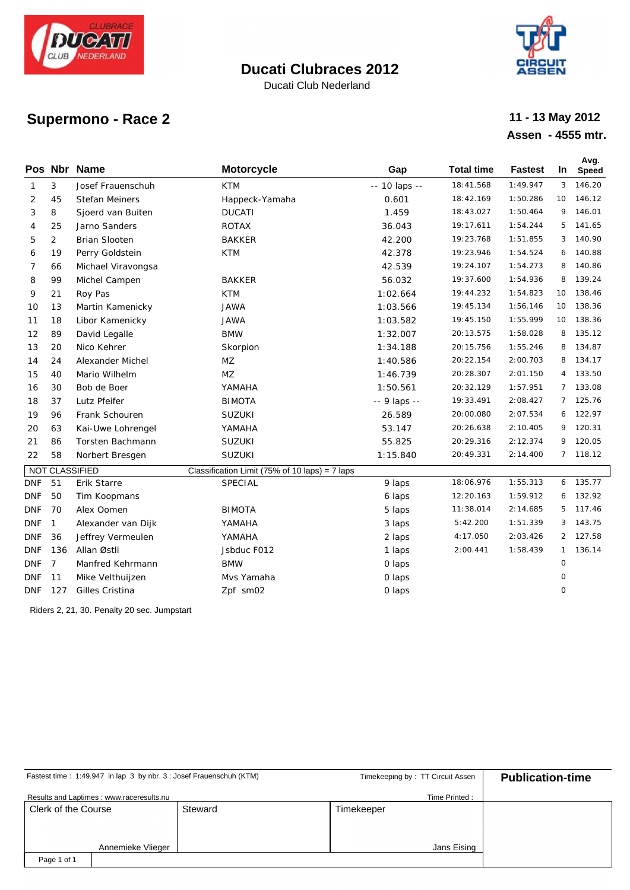

Ducati Club Nederland



# **Supermono - Race 2**

#### **Assen - 4555 mtr. 11 - 13 May 2012**

|            |                | Pos Nbr Name         | <b>Motorcycle</b>                                | Gap           | <b>Total time</b> | <b>Fastest</b> | In             | Avg.<br><b>Speed</b> |
|------------|----------------|----------------------|--------------------------------------------------|---------------|-------------------|----------------|----------------|----------------------|
| 1          | 3              | Josef Frauenschuh    | KTM                                              | -- 10 laps -- | 18:41.568         | 1:49.947       | 3 <sup>1</sup> | 146.20               |
| 2          | 45             | Stefan Meiners       | Happeck-Yamaha                                   | 0.601         | 18:42.169         | 1:50.286       | 10             | 146.12               |
| 3          | 8              | Sjoerd van Buiten    | <b>DUCATI</b>                                    | 1.459         | 18:43.027         | 1:50.464       | 9              | 146.01               |
| 4          | 25             | Jarno Sanders        | <b>ROTAX</b>                                     | 36.043        | 19:17.611         | 1:54.244       | 5              | 141.65               |
| 5          | $\overline{2}$ | <b>Brian Slooten</b> | <b>BAKKER</b>                                    | 42.200        | 19:23.768         | 1:51.855       | 3              | 140.90               |
| 6          | 19             | Perry Goldstein      | <b>KTM</b>                                       | 42.378        | 19:23.946         | 1:54.524       | 6              | 140.88               |
| 7          | 66             | Michael Viravongsa   |                                                  | 42.539        | 19:24.107         | 1:54.273       | 8              | 140.86               |
| 8          | 99             | Michel Campen        | <b>BAKKER</b>                                    | 56.032        | 19:37.600         | 1:54.936       | 8              | 139.24               |
| 9          | 21             | Roy Pas              | <b>KTM</b>                                       | 1:02.664      | 19:44.232         | 1:54.823       | 10             | 138.46               |
| 10         | 13             | Martin Kamenicky     | <b>JAWA</b>                                      | 1:03.566      | 19:45.134         | 1:56.146       |                | 10 138.36            |
| 11         | 18             | Libor Kamenicky      | <b>JAWA</b>                                      | 1:03.582      | 19:45.150         | 1:55.999       | 10             | 138.36               |
| 12         | 89             | David Legalle        | <b>BMW</b>                                       | 1:32.007      | 20:13.575         | 1:58.028       | 8              | 135.12               |
| 13         | 20             | Nico Kehrer          | Skorpion                                         | 1:34.188      | 20:15.756         | 1:55.246       | 8              | 134.87               |
| 14         | 24             | Alexander Michel     | <b>MZ</b>                                        | 1:40.586      | 20:22.154         | 2:00.703       | 8              | 134.17               |
| 15         | 40             | Mario Wilhelm        | <b>MZ</b>                                        | 1:46.739      | 20:28.307         | 2:01.150       |                | 4 133.50             |
| 16         | 30             | Bob de Boer          | YAMAHA                                           | 1:50.561      | 20:32.129         | 1:57.951       | $7^{\circ}$    | 133.08               |
| 18         | 37             | Lutz Pfeifer         | <b>BIMOTA</b>                                    | -- 9 laps --  | 19:33.491         | 2:08.427       |                | 7 125.76             |
| 19         | 96             | Frank Schouren       | SUZUKI                                           | 26.589        | 20:00.080         | 2:07.534       | 6              | 122.97               |
| 20         | 63             | Kai-Uwe Lohrengel    | YAMAHA                                           | 53.147        | 20:26.638         | 2:10.405       | 9              | 120.31               |
| 21         | 86             | Torsten Bachmann     | SUZUKI                                           | 55.825        | 20:29.316         | 2:12.374       | 9              | 120.05               |
| 22         | 58             | Norbert Bresgen      | SUZUKI                                           | 1:15.840      | 20:49.331         | 2:14.400       | $7^{\circ}$    | 118.12               |
|            |                | NOT CLASSIFIED       | Classification Limit (75% of 10 laps) = $7$ laps |               |                   |                |                |                      |
| <b>DNF</b> | 51             | Erik Starre          | <b>SPECIAL</b>                                   | 9 laps        | 18:06.976         | 1:55.313       |                | 6 135.77             |
| <b>DNF</b> | 50             | Tim Koopmans         |                                                  | 6 laps        | 12:20.163         | 1:59.912       | 6              | 132.92               |
| <b>DNF</b> | 70             | Alex Oomen           | <b>BIMOTA</b>                                    | 5 laps        | 11:38.014         | 2:14.685       | 5              | 117.46               |
| <b>DNF</b> | $\mathbf{1}$   | Alexander van Dijk   | YAMAHA                                           | 3 laps        | 5:42.200          | 1:51.339       | 3              | 143.75               |
| <b>DNF</b> | 36             | Jeffrey Vermeulen    | YAMAHA                                           | 2 laps        | 4:17.050          | 2:03.426       | $\overline{2}$ | 127.58               |
| <b>DNF</b> | 136            | Allan Østli          | Jsbduc F012                                      | 1 laps        | 2:00.441          | 1:58.439       | $\mathbf{1}$   | 136.14               |
| <b>DNF</b> | $\overline{7}$ | Manfred Kehrmann     | <b>BMW</b>                                       | O laps        |                   |                | $\circ$        |                      |
| <b>DNF</b> | 11             | Mike Velthuijzen     | Mys Yamaha                                       | O laps        |                   |                | 0              |                      |
| <b>DNF</b> | 127            | Gilles Cristina      | Zpf sm02                                         | O laps        |                   |                | 0              |                      |

Riders 2, 21, 30. Penalty 20 sec. Jumpstart

|                     | Fastest time: 1:49.947 in lap 3 by nbr. 3 : Josef Frauenschuh (KTM) |         | Timekeeping by: TT Circuit Assen | <b>Publication-time</b> |  |  |  |  |
|---------------------|---------------------------------------------------------------------|---------|----------------------------------|-------------------------|--|--|--|--|
|                     | Results and Laptimes: www.raceresults.nu                            |         | Time Printed:                    |                         |  |  |  |  |
| Clerk of the Course |                                                                     | Steward | Timekeeper                       |                         |  |  |  |  |
|                     |                                                                     |         |                                  |                         |  |  |  |  |
|                     |                                                                     |         |                                  |                         |  |  |  |  |
|                     | Annemieke Vlieger                                                   |         | Jans Eising                      |                         |  |  |  |  |
| Page 1 of 1         |                                                                     |         |                                  |                         |  |  |  |  |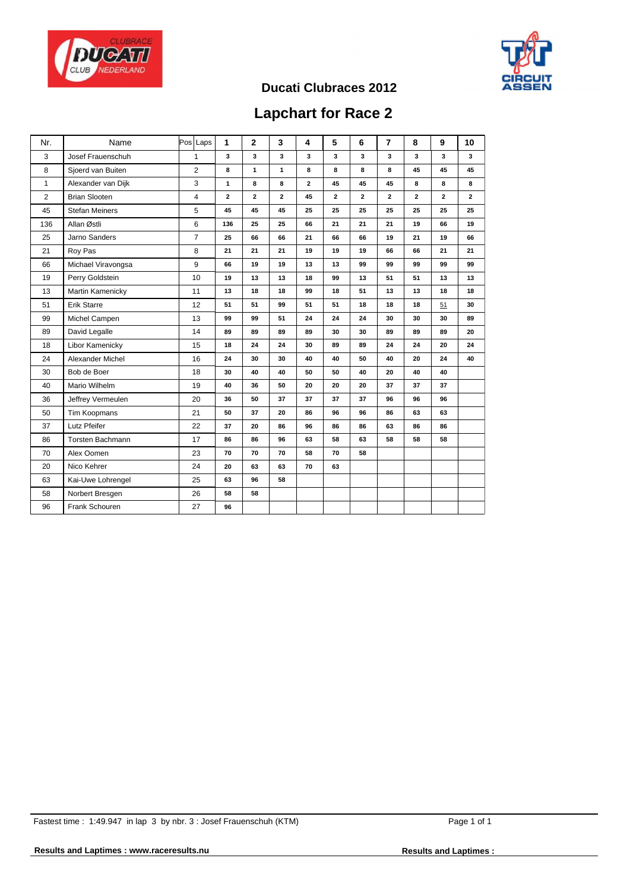



## **Lapchart for Race 2**

| Nr.          | Name                  | Pos Laps       | $\mathbf{1}$ | $\mathbf{2}$ | 3              | 4              | 5            | 6              | $\overline{7}$ | 8              | 9              | 10           |
|--------------|-----------------------|----------------|--------------|--------------|----------------|----------------|--------------|----------------|----------------|----------------|----------------|--------------|
| 3            | Josef Frauenschuh     | $\mathbf{1}$   | 3            | 3            | 3              | 3              | 3            | 3              | 3              | 3              | 3              | 3            |
| 8            | Sjoerd van Buiten     | 2              | 8            | $\mathbf{1}$ | $\mathbf{1}$   | 8              | 8            | 8              | 8              | 45             | 45             | 45           |
| $\mathbf{1}$ | Alexander van Dijk    | 3              | $\mathbf{1}$ | 8            | 8              | $\overline{2}$ | 45           | 45             | 45             | 8              | 8              | 8            |
| 2            | <b>Brian Slooten</b>  | $\overline{4}$ | $\mathbf{2}$ | $\mathbf{2}$ | $\overline{2}$ | 45             | $\mathbf{2}$ | $\overline{2}$ | $\mathbf{2}$   | $\overline{2}$ | $\overline{2}$ | $\mathbf{2}$ |
| 45           | <b>Stefan Meiners</b> | 5              | 45           | 45           | 45             | 25             | 25           | 25             | 25             | 25             | 25             | 25           |
| 136          | Allan Østli           | 6              | 136          | 25           | 25             | 66             | 21           | 21             | 21             | 19             | 66             | 19           |
| 25           | Jarno Sanders         | $\overline{7}$ | 25           | 66           | 66             | 21             | 66           | 66             | 19             | 21             | 19             | 66           |
| 21           | Roy Pas               | 8              | 21           | 21           | 21             | 19             | 19           | 19             | 66             | 66             | 21             | 21           |
| 66           | Michael Viravongsa    | 9              | 66           | 19           | 19             | 13             | 13           | 99             | 99             | 99             | 99             | 99           |
| 19           | Perry Goldstein       | 10             | 19           | 13           | 13             | 18             | 99           | 13             | 51             | 51             | 13             | 13           |
| 13           | Martin Kamenicky      | 11             | 13           | 18           | 18             | 99             | 18           | 51             | 13             | 13             | 18             | 18           |
| 51           | <b>Erik Starre</b>    | 12             | 51           | 51           | 99             | 51             | 51           | 18             | 18             | 18             | 51             | 30           |
| 99           | Michel Campen         | 13             | 99           | 99           | 51             | 24             | 24           | 24             | 30             | 30             | 30             | 89           |
| 89           | David Legalle         | 14             | 89           | 89           | 89             | 89             | 30           | 30             | 89             | 89             | 89             | 20           |
| 18           | Libor Kamenicky       | 15             | 18           | 24           | 24             | 30             | 89           | 89             | 24             | 24             | 20             | 24           |
| 24           | Alexander Michel      | 16             | 24           | 30           | 30             | 40             | 40           | 50             | 40             | 20             | 24             | 40           |
| 30           | Bob de Boer           | 18             | 30           | 40           | 40             | 50             | 50           | 40             | 20             | 40             | 40             |              |
| 40           | Mario Wilhelm         | 19             | 40           | 36           | 50             | 20             | 20           | 20             | 37             | 37             | 37             |              |
| 36           | Jeffrey Vermeulen     | 20             | 36           | 50           | 37             | 37             | 37           | 37             | 96             | 96             | 96             |              |
| 50           | Tim Koopmans          | 21             | 50           | 37           | 20             | 86             | 96           | 96             | 86             | 63             | 63             |              |
| 37           | Lutz Pfeifer          | 22             | 37           | 20           | 86             | 96             | 86           | 86             | 63             | 86             | 86             |              |
| 86           | Torsten Bachmann      | 17             | 86           | 86           | 96             | 63             | 58           | 63             | 58             | 58             | 58             |              |
| 70           | Alex Oomen            | 23             | 70           | 70           | 70             | 58             | 70           | 58             |                |                |                |              |
| 20           | Nico Kehrer           | 24             | 20           | 63           | 63             | 70             | 63           |                |                |                |                |              |
| 63           | Kai-Uwe Lohrengel     | 25             | 63           | 96           | 58             |                |              |                |                |                |                |              |
| 58           | Norbert Bresgen       | 26             | 58           | 58           |                |                |              |                |                |                |                |              |
| 96           | Frank Schouren        | 27             | 96           |              |                |                |              |                |                |                |                |              |